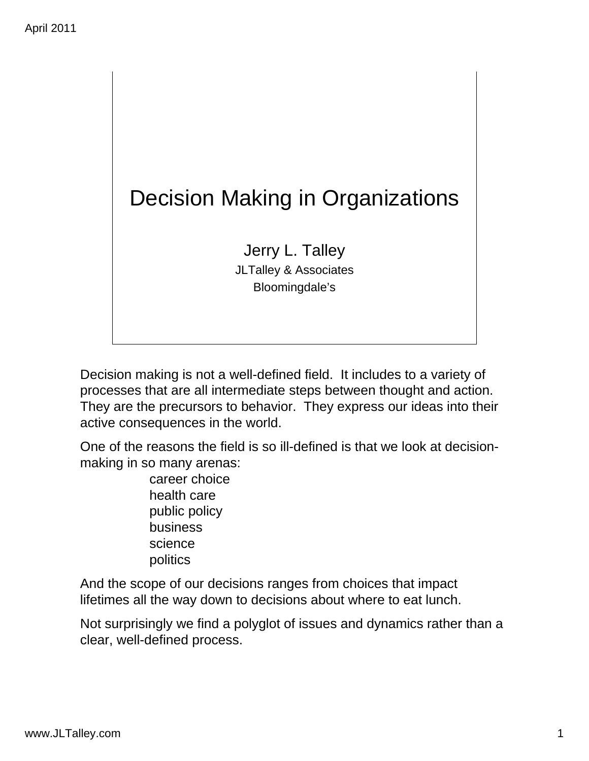

Decision making is not a well-defined field. It includes to a variety of processes that are all intermediate steps between thought and action. They are the precursors to behavior. They express our ideas into their active consequences in the world.

One of the reasons the field is so ill-defined is that we look at decisionmaking in so many arenas:

> career choice health care public policy business science politics

And the scope of our decisions ranges from choices that impact lifetimes all the way down to decisions about where to eat lunch.

Not surprisingly we find a polyglot of issues and dynamics rather than a clear, well-defined process.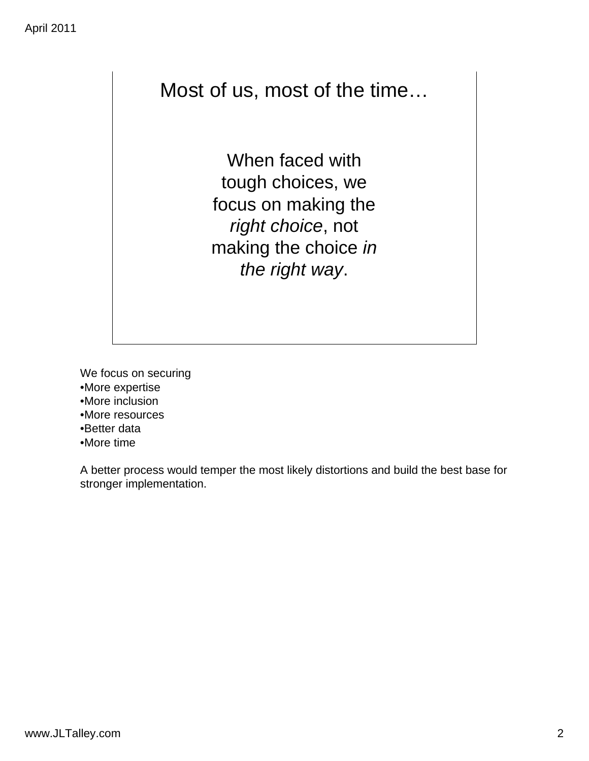### Most of us, most of the time…

When faced with tough choices, we focus on making the *right choice*, not making the choice *in the right way*.

We focus on securing •More expertise

- •More inclusion
- •More resources
- •Better data
- •More time

A better process would temper the most likely distortions and build the best base for stronger implementation.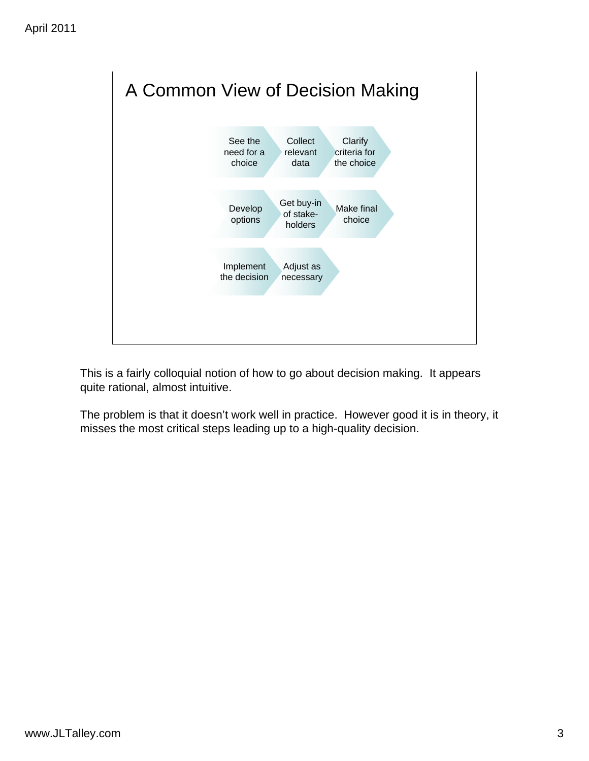

This is a fairly colloquial notion of how to go about decision making. It appears quite rational, almost intuitive.

The problem is that it doesn't work well in practice. However good it is in theory, it misses the most critical steps leading up to a high-quality decision.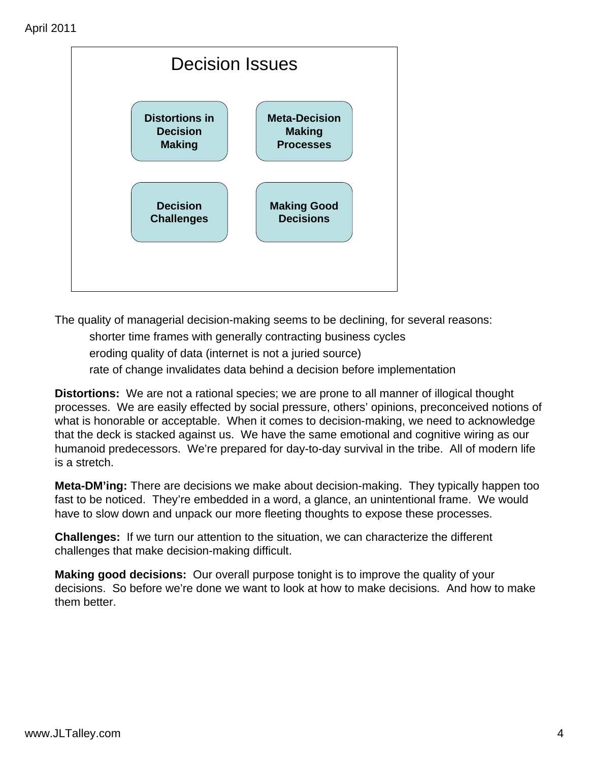

The quality of managerial decision-making seems to be declining, for several reasons:

- shorter time frames with generally contracting business cycles
- eroding quality of data (internet is not a juried source)
- rate of change invalidates data behind a decision before implementation

**Distortions:** We are not a rational species; we are prone to all manner of illogical thought processes. We are easily effected by social pressure, others' opinions, preconceived notions of what is honorable or acceptable. When it comes to decision-making, we need to acknowledge that the deck is stacked against us. We have the same emotional and cognitive wiring as our humanoid predecessors. We're prepared for day-to-day survival in the tribe. All of modern life is a stretch.

**Meta-DM'ing:** There are decisions we make about decision-making. They typically happen too fast to be noticed. They're embedded in a word, a glance, an unintentional frame. We would have to slow down and unpack our more fleeting thoughts to expose these processes.

**Challenges:** If we turn our attention to the situation, we can characterize the different challenges that make decision-making difficult.

**Making good decisions:** Our overall purpose tonight is to improve the quality of your decisions. So before we're done we want to look at how to make decisions. And how to make them better.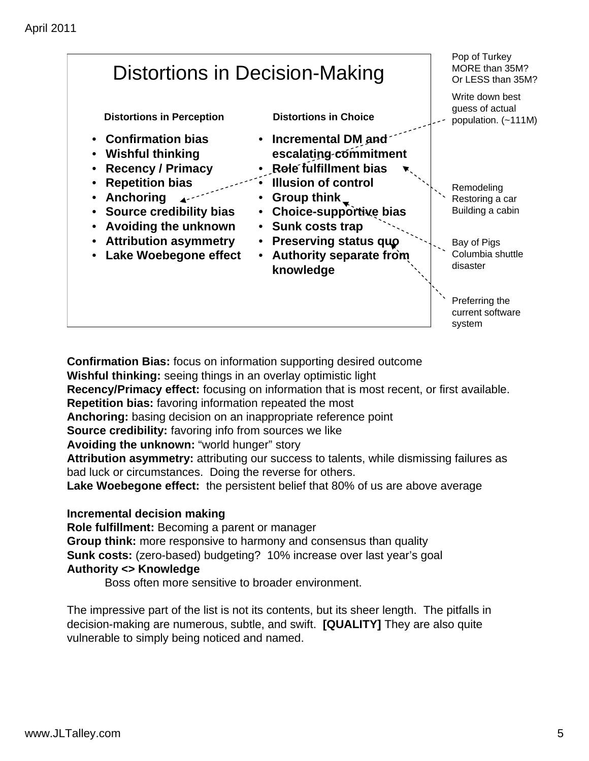

**Confirmation Bias:** focus on information supporting desired outcome **Wishful thinking:** seeing things in an overlay optimistic light **Recency/Primacy effect:** focusing on information that is most recent, or first available. **Repetition bias:** favoring information repeated the most **Anchoring:** basing decision on an inappropriate reference point **Source credibility:** favoring info from sources we like **Avoiding the unknown:** "world hunger" story **Attribution asymmetry:** attributing our success to talents, while dismissing failures as bad luck or circumstances. Doing the reverse for others. **Lake Woebegone effect:** the persistent belief that 80% of us are above average **Incremental decision making**

**Role fulfillment:** Becoming a parent or manager **Group think:** more responsive to harmony and consensus than quality **Sunk costs:** (zero-based) budgeting? 10% increase over last year's goal **Authority <> Knowledge** 

Boss often more sensitive to broader environment.

The impressive part of the list is not its contents, but its sheer length. The pitfalls in decision-making are numerous, subtle, and swift. **[QUALITY]** They are also quite vulnerable to simply being noticed and named.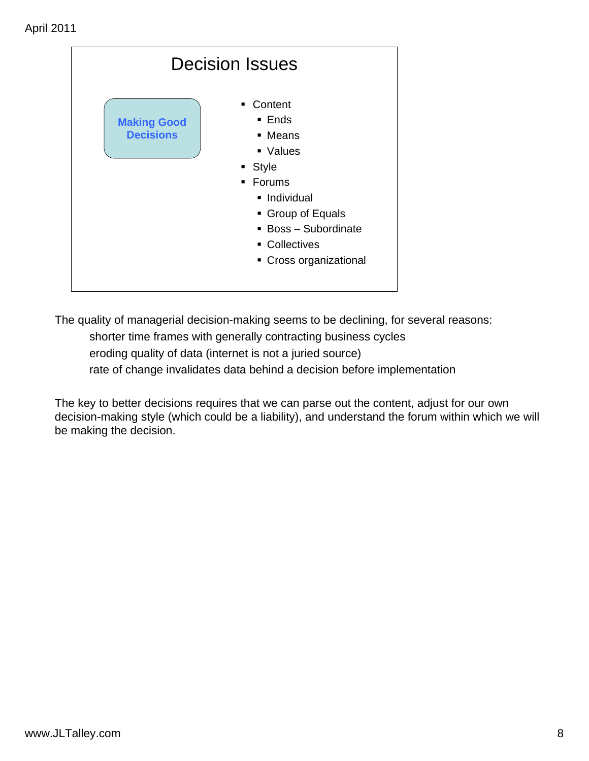| <b>Decision Issues</b>                 |                                                                                                                                                                                            |  |  |  |
|----------------------------------------|--------------------------------------------------------------------------------------------------------------------------------------------------------------------------------------------|--|--|--|
| <b>Making Good</b><br><b>Decisions</b> | Content<br>٠.<br>$\blacksquare$ Ends<br>• Means<br>• Values<br>• Style<br>• Forums<br>· Individual<br>• Group of Equals<br>• Boss - Subordinate<br>• Collectives<br>• Cross organizational |  |  |  |

The quality of managerial decision-making seems to be declining, for several reasons: shorter time frames with generally contracting business cycles eroding quality of data (internet is not a juried source) rate of change invalidates data behind a decision before implementation

The key to better decisions requires that we can parse out the content, adjust for our own decision-making style (which could be a liability), and understand the forum within which we will be making the decision.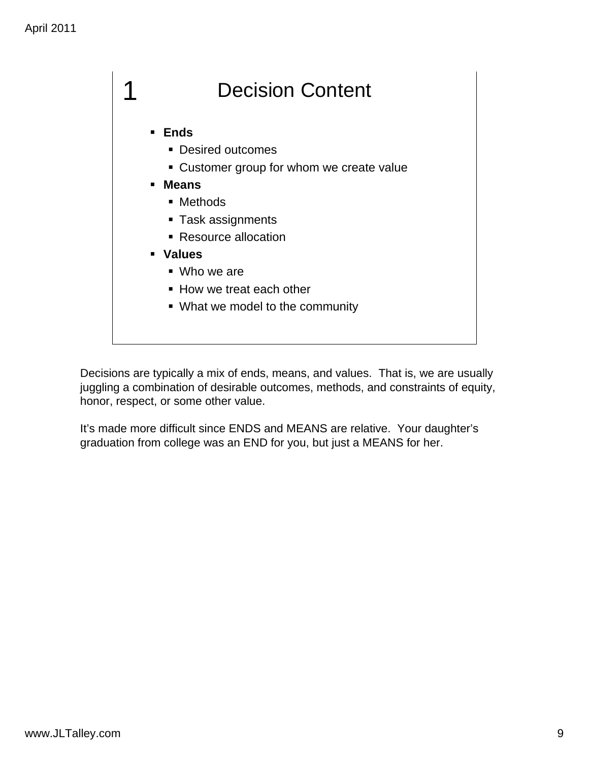

Decisions are typically a mix of ends, means, and values. That is, we are usually juggling a combination of desirable outcomes, methods, and constraints of equity, honor, respect, or some other value.

It's made more difficult since ENDS and MEANS are relative. Your daughter's graduation from college was an END for you, but just a MEANS for her.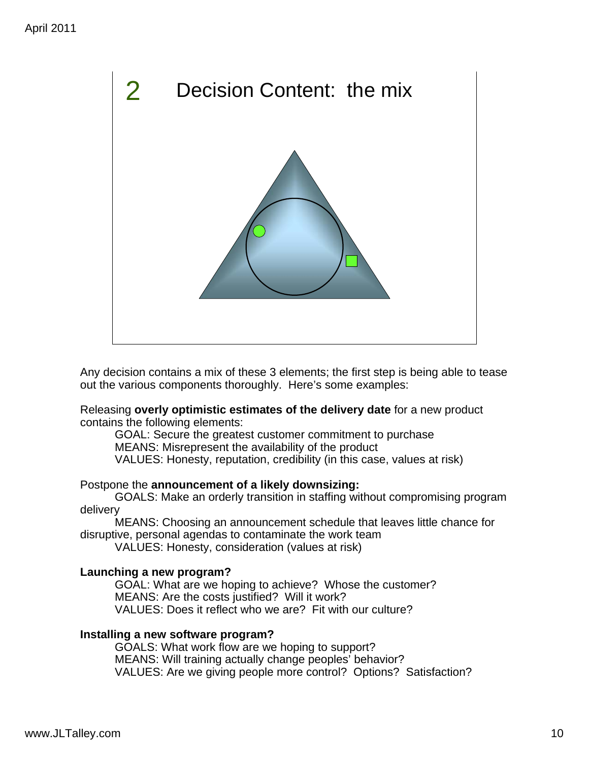

Any decision contains a mix of these 3 elements; the first step is being able to tease out the various components thoroughly. Here's some examples:

Releasing **overly optimistic estimates of the delivery date** for a new product contains the following elements:

GOAL: Secure the greatest customer commitment to purchase MEANS: Misrepresent the availability of the product VALUES: Honesty, reputation, credibility (in this case, values at risk)

#### Postpone the **announcement of a likely downsizing:**

GOALS: Make an orderly transition in staffing without compromising program delivery

MEANS: Choosing an announcement schedule that leaves little chance for disruptive, personal agendas to contaminate the work team

VALUES: Honesty, consideration (values at risk)

#### **Launching a new program?**

GOAL: What are we hoping to achieve? Whose the customer? MEANS: Are the costs justified? Will it work? VALUES: Does it reflect who we are? Fit with our culture?

#### **Installing a new software program?**

GOALS: What work flow are we hoping to support? MEANS: Will training actually change peoples' behavior? VALUES: Are we giving people more control? Options? Satisfaction?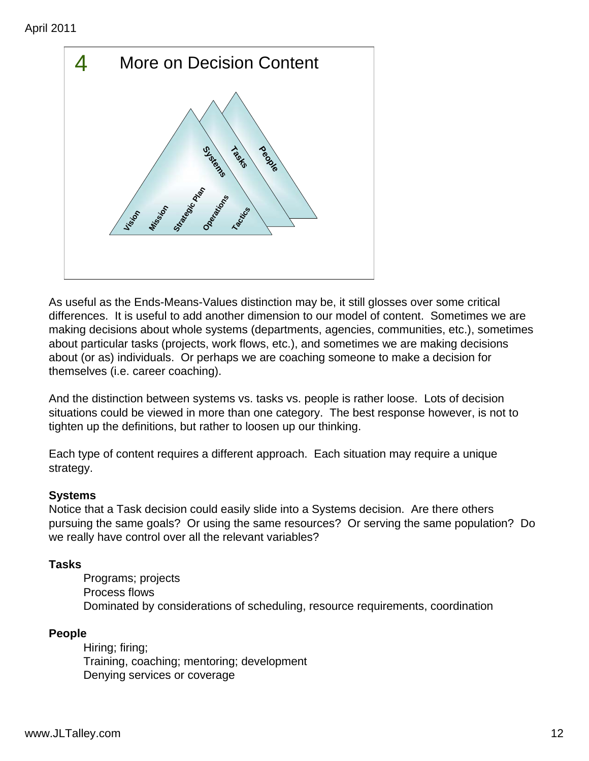

As useful as the Ends-Means-Values distinction may be, it still glosses over some critical differences. It is useful to add another dimension to our model of content. Sometimes we are making decisions about whole systems (departments, agencies, communities, etc.), sometimes about particular tasks (projects, work flows, etc.), and sometimes we are making decisions about (or as) individuals. Or perhaps we are coaching someone to make a decision for themselves (i.e. career coaching).

And the distinction between systems vs. tasks vs. people is rather loose. Lots of decision situations could be viewed in more than one category. The best response however, is not to tighten up the definitions, but rather to loosen up our thinking.

Each type of content requires a different approach. Each situation may require a unique strategy.

### **Systems**

Notice that a Task decision could easily slide into a Systems decision. Are there others pursuing the same goals? Or using the same resources? Or serving the same population? Do we really have control over all the relevant variables?

### **Tasks**

Programs; projects Process flows Dominated by considerations of scheduling, resource requirements, coordination

### **People**

Hiring; firing; Training, coaching; mentoring; development Denying services or coverage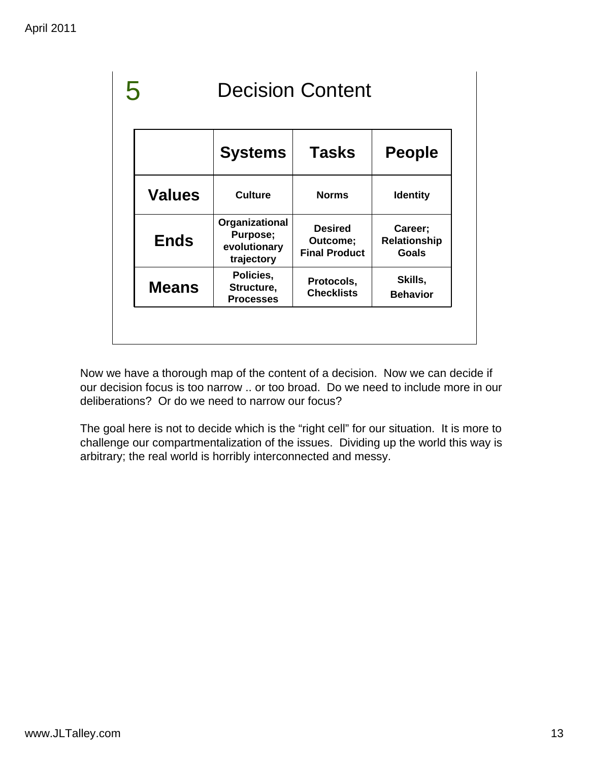| <b>Decision Content</b> |                                                          |                                                    |                                                |
|-------------------------|----------------------------------------------------------|----------------------------------------------------|------------------------------------------------|
|                         | <b>Systems</b>                                           | <b>Tasks</b>                                       | <b>People</b>                                  |
| <b>Values</b>           | <b>Culture</b>                                           | <b>Norms</b>                                       | <b>Identity</b>                                |
| <b>Ends</b>             | Organizational<br>Purpose;<br>evolutionary<br>trajectory | <b>Desired</b><br>Outcome;<br><b>Final Product</b> | Career;<br><b>Relationship</b><br><b>Goals</b> |
| <b>Means</b>            | Policies,<br>Structure,<br><b>Processes</b>              | Protocols,<br><b>Checklists</b>                    | Skills,<br><b>Behavior</b>                     |

Now we have a thorough map of the content of a decision. Now we can decide if our decision focus is too narrow .. or too broad. Do we need to include more in our deliberations? Or do we need to narrow our focus?

The goal here is not to decide which is the "right cell" for our situation. It is more to challenge our compartmentalization of the issues. Dividing up the world this way is arbitrary; the real world is horribly interconnected and messy.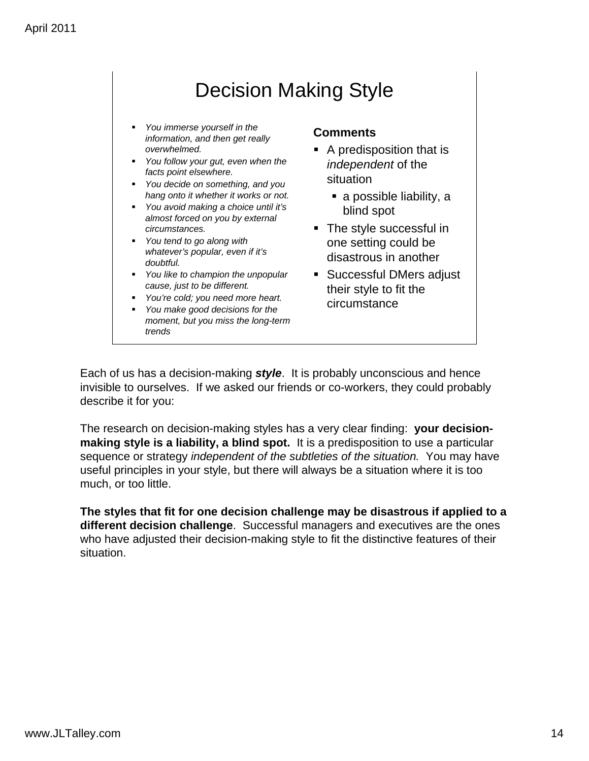## Decision Making Style

- *You immerse yourself in the information, and then get really overwhelmed.*
- *You follow your gut, even when the facts point elsewhere.*
- *You decide on something, and you hang onto it whether it works or not.*
- *You avoid making a choice until it's almost forced on you by external circumstances.*
- *You tend to go along with whatever's popular, even if it's doubtful.*
- *You like to champion the unpopular cause, just to be different.*
- *You're cold; you need more heart.*
- *You make good decisions for the moment, but you miss the long-term trends*

#### **Comments**

- A predisposition that is *independent* of the situation
	- a possible liability, a blind spot
- The style successful in one setting could be disastrous in another
- **Successful DMers adjust** their style to fit the circumstance

Each of us has a decision-making *style*. It is probably unconscious and hence invisible to ourselves. If we asked our friends or co-workers, they could probably describe it for you:

The research on decision-making styles has a very clear finding: **your decisionmaking style is a liability, a blind spot.** It is a predisposition to use a particular sequence or strategy *independent of the subtleties of the situation.* You may have useful principles in your style, but there will always be a situation where it is too much, or too little.

**The styles that fit for one decision challenge may be disastrous if applied to a different decision challenge**. Successful managers and executives are the ones who have adjusted their decision-making style to fit the distinctive features of their situation.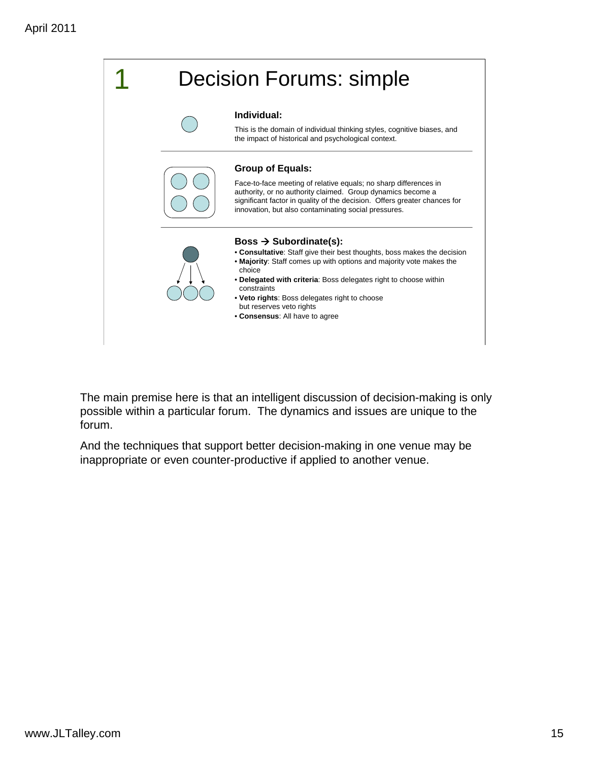![](_page_11_Picture_1.jpeg)

The main premise here is that an intelligent discussion of decision-making is only possible within a particular forum. The dynamics and issues are unique to the forum.

And the techniques that support better decision-making in one venue may be inappropriate or even counter-productive if applied to another venue.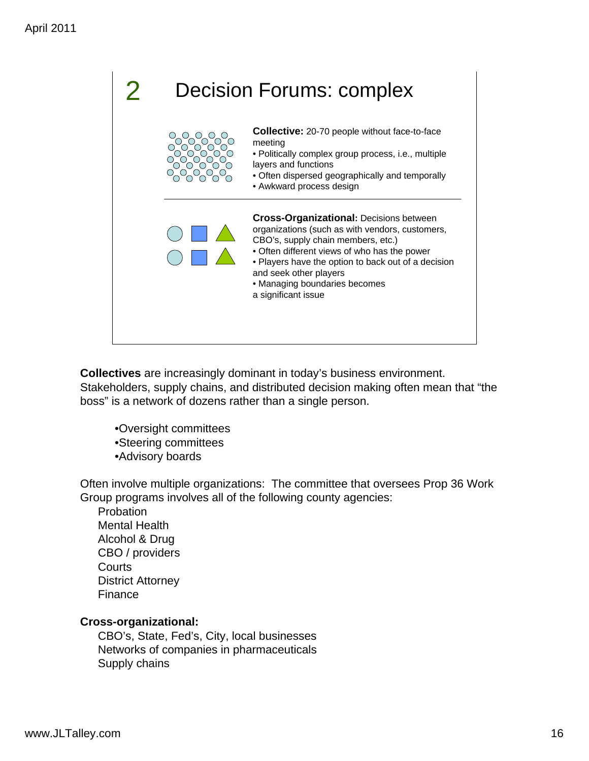![](_page_12_Picture_1.jpeg)

**Collectives** are increasingly dominant in today's business environment. Stakeholders, supply chains, and distributed decision making often mean that "the boss" is a network of dozens rather than a single person.

- •Oversight committees
- •Steering committees
- •Advisory boards

Often involve multiple organizations: The committee that oversees Prop 36 Work Group programs involves all of the following county agencies:

Probation Mental Health Alcohol & Drug CBO / providers **Courts** District Attorney Finance

#### **Cross-organizational:**

CBO's, State, Fed's, City, local businesses Networks of companies in pharmaceuticals Supply chains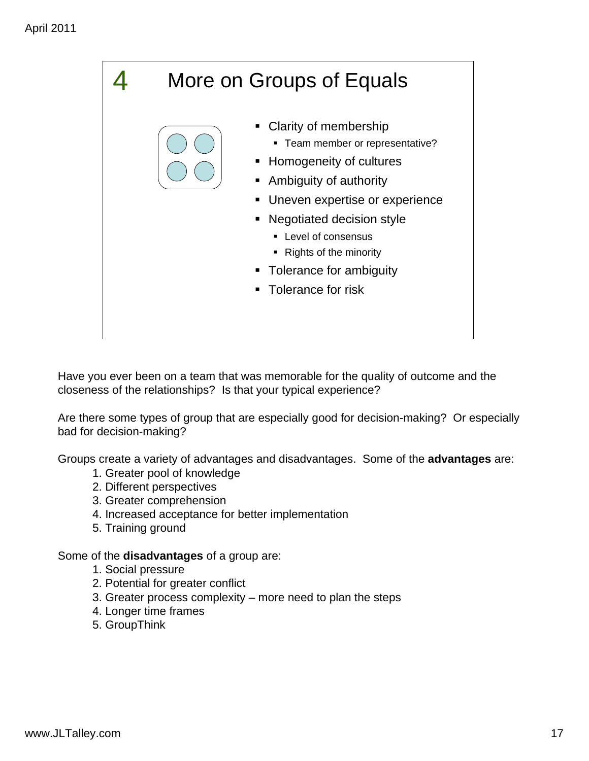More on Groups of Equals • Clarity of membership **Team member or representative? -** Homogeneity of cultures Ambiguity of authority **Uneven expertise or experience**  Negotiated decision style **Level of consensus** • Rights of the minority • Tolerance for ambiguity **Tolerance for risk** 4

Have you ever been on a team that was memorable for the quality of outcome and the closeness of the relationships? Is that your typical experience?

Are there some types of group that are especially good for decision-making? Or especially bad for decision-making?

Groups create a variety of advantages and disadvantages. Some of the **advantages** are:

- 1. Greater pool of knowledge
- 2. Different perspectives
- 3. Greater comprehension
- 4. Increased acceptance for better implementation
- 5. Training ground

Some of the **disadvantages** of a group are:

- 1. Social pressure
- 2. Potential for greater conflict
- 3. Greater process complexity more need to plan the steps
- 4. Longer time frames
- 5. GroupThink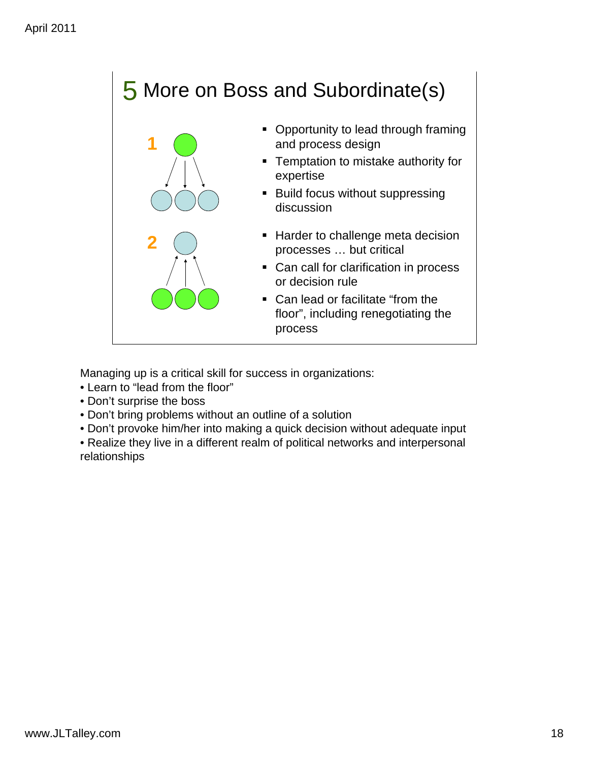# 5 More on Boss and Subordinate(s)

![](_page_14_Picture_2.jpeg)

- Opportunity to lead through framing and process design
- **Temptation to mistake authority for** expertise
- **Build focus without suppressing** discussion
- **Harder to challenge meta decision** processes … but critical
- Can call for clarification in process or decision rule
- Can lead or facilitate "from the floor", including renegotiating the process

Managing up is a critical skill for success in organizations:

- Learn to "lead from the floor"
- Don't surprise the boss
- Don't bring problems without an outline of a solution
- Don't provoke him/her into making a quick decision without adequate input
- Realize they live in a different realm of political networks and interpersonal relationships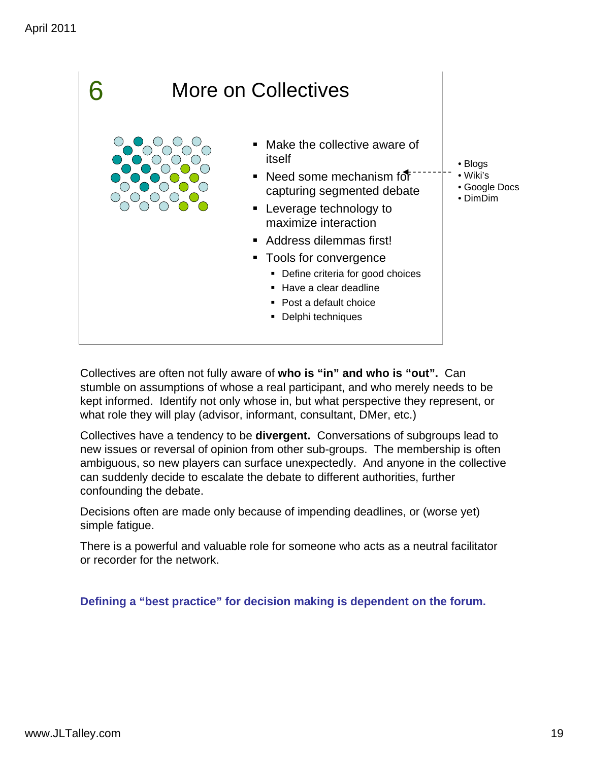![](_page_15_Picture_1.jpeg)

Collectives are often not fully aware of **who is "in" and who is "out".** Can stumble on assumptions of whose a real participant, and who merely needs to be kept informed. Identify not only whose in, but what perspective they represent, or what role they will play (advisor, informant, consultant, DMer, etc.)

Collectives have a tendency to be **divergent.** Conversations of subgroups lead to new issues or reversal of opinion from other sub-groups. The membership is often ambiguous, so new players can surface unexpectedly. And anyone in the collective can suddenly decide to escalate the debate to different authorities, further confounding the debate.

Decisions often are made only because of impending deadlines, or (worse yet) simple fatigue.

There is a powerful and valuable role for someone who acts as a neutral facilitator or recorder for the network.

**Defining a "best practice" for decision making is dependent on the forum.**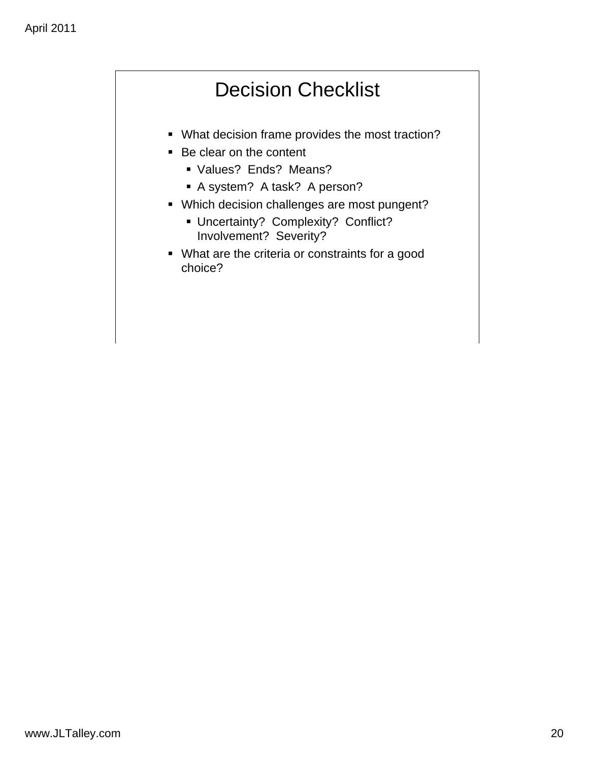# Decision Checklist

- What decision frame provides the most traction?
- Be clear on the content
	- Values? Ends? Means?
	- A system? A task? A person?
- Which decision challenges are most pungent?
	- **Uncertainty? Complexity? Conflict?** Involvement? Severity?
- What are the criteria or constraints for a good choice?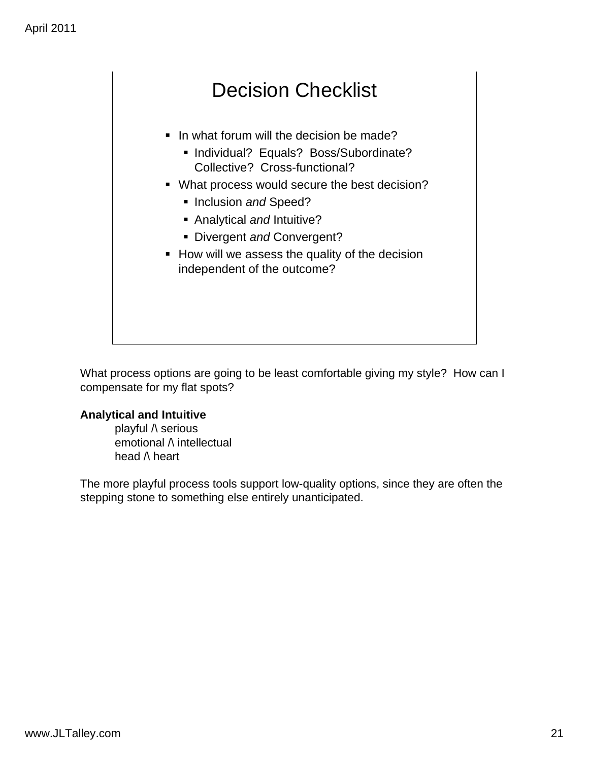### Decision Checklist

- In what forum will the decision be made?
	- **Individual? Equals? Boss/Subordinate?** Collective? Cross-functional?
- **What process would secure the best decision?** 
	- **Inclusion and Speed?**
	- Analytical *and* Intuitive?
	- Divergent *and* Convergent?
- How will we assess the quality of the decision independent of the outcome?

What process options are going to be least comfortable giving my style? How can I compensate for my flat spots?

#### **Analytical and Intuitive**

playful /\ serious emotional  $\wedge$  intellectual head  $\wedge$  heart

The more playful process tools support low-quality options, since they are often the stepping stone to something else entirely unanticipated.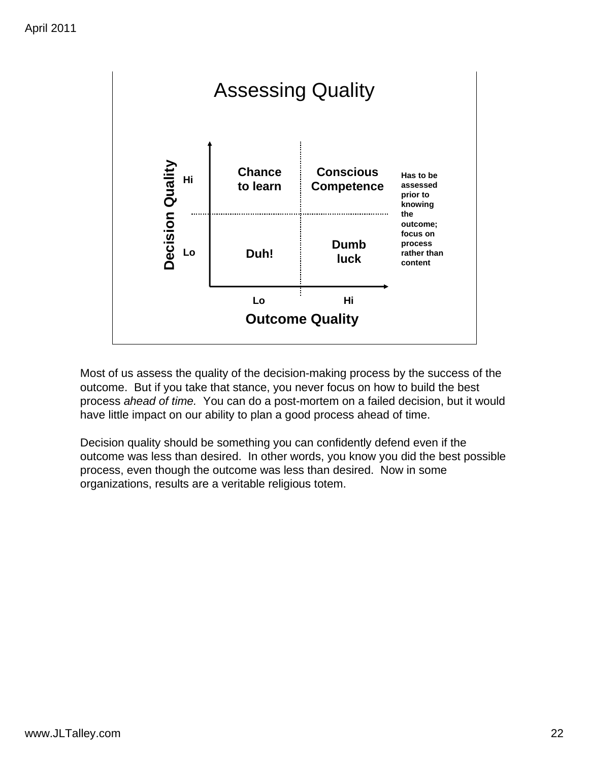![](_page_18_Figure_1.jpeg)

Most of us assess the quality of the decision-making process by the success of the outcome. But if you take that stance, you never focus on how to build the best process *ahead of time.* You can do a post-mortem on a failed decision, but it would have little impact on our ability to plan a good process ahead of time.

Decision quality should be something you can confidently defend even if the outcome was less than desired. In other words, you know you did the best possible process, even though the outcome was less than desired. Now in some organizations, results are a veritable religious totem.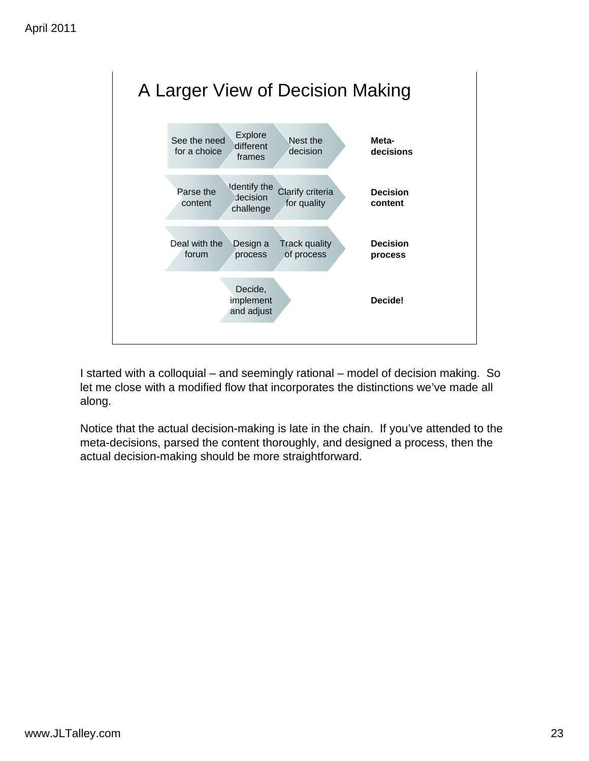![](_page_19_Figure_1.jpeg)

I started with a colloquial – and seemingly rational – model of decision making. So let me close with a modified flow that incorporates the distinctions we've made all along.

Notice that the actual decision-making is late in the chain. If you've attended to the meta-decisions, parsed the content thoroughly, and designed a process, then the actual decision-making should be more straightforward.